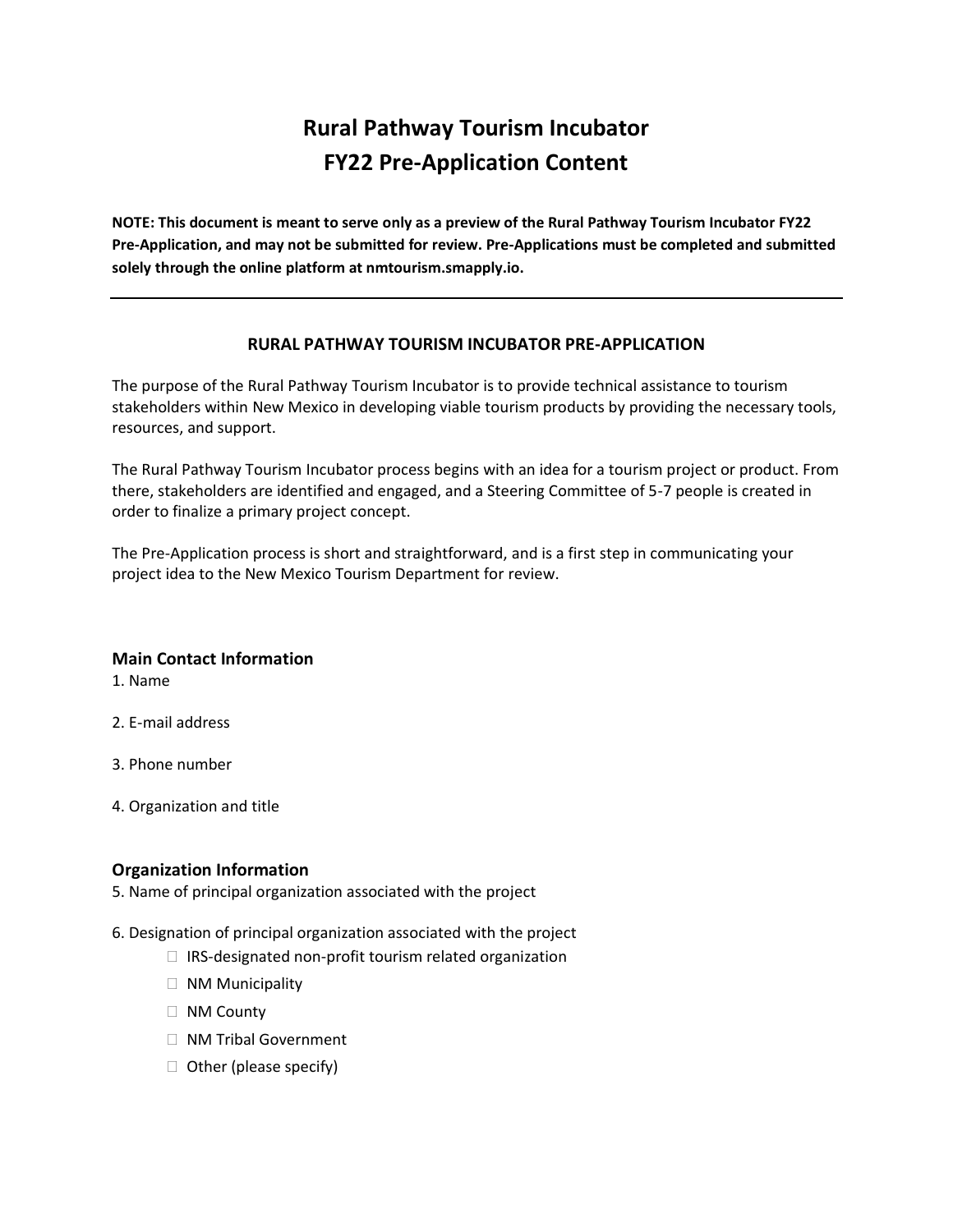# **Rural Pathway Tourism Incubator FY22 Pre-Application Content**

**NOTE: This document is meant to serve only as a preview of the Rural Pathway Tourism Incubator FY22 Pre-Application, and may not be submitted for review. Pre-Applications must be completed and submitted solely through the online platform at nmtourism.smapply.io.**

#### **RURAL PATHWAY TOURISM INCUBATOR PRE-APPLICATION**

The purpose of the Rural Pathway Tourism Incubator is to provide technical assistance to tourism stakeholders within New Mexico in developing viable tourism products by providing the necessary tools, resources, and support.

The Rural Pathway Tourism Incubator process begins with an idea for a tourism project or product. From there, stakeholders are identified and engaged, and a Steering Committee of 5-7 people is created in order to finalize a primary project concept.

The Pre-Application process is short and straightforward, and is a first step in communicating your project idea to the New Mexico Tourism Department for review.

#### **Main Contact Information**

1. Name

- 2. E-mail address
- 3. Phone number
- 4. Organization and title

### **Organization Information**

5. Name of principal organization associated with the project

- 6. Designation of principal organization associated with the project
	- IRS-designated non-profit tourism related organization
	- NM Municipality
	- NM County
	- NM Tribal Government
	- Other (please specify)